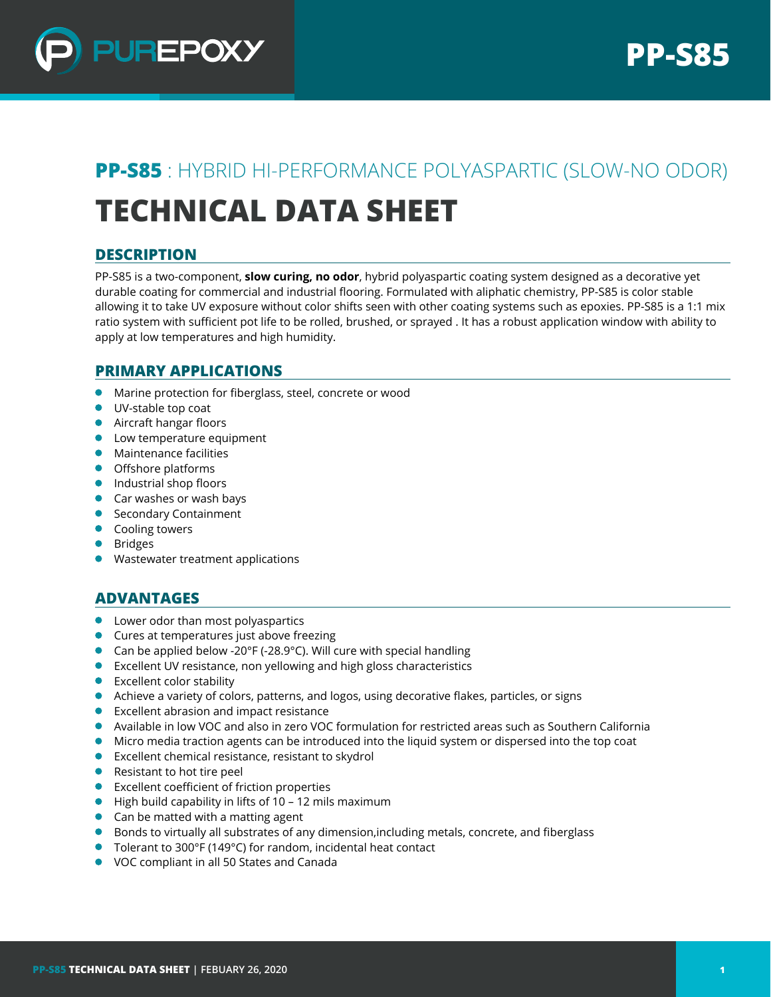

# **PP-S85** : HYBRID HI-PERFORMANCE POLYASPARTIC (SLOW-NO ODOR) **TECHNICAL DATA SHEET**

# **DESCRIPTION**

PP-S85 is a two-component, **slow curing, no odor**, hybrid polyaspartic coating system designed as a decorative yet durable coating for commercial and industrial flooring. Formulated with aliphatic chemistry, PP-S85 is color stable allowing it to take UV exposure without color shifts seen with other coating systems such as epoxies. PP-S85 is a 1:1 mix ratio system with sufficient pot life to be rolled, brushed, or sprayed . It has a robust application window with ability to apply at low temperatures and high humidity.

## **PRIMARY APPLICATIONS**

- Marine protection for fiberglass, steel, concrete or wood
- UV-stable top coat
- **Aircraft hangar floors**
- **•** Low temperature equipment
- **•** Maintenance facilities
- Offshore platforms
- **Industrial shop floors**
- **Car washes or wash bays**
- **Secondary Containment**
- **•** Cooling towers
- **•** Bridges
- **•** Wastewater treatment applications

## **ADVANTAGES**

- **•** Lower odor than most polyaspartics
- **Cures at temperatures just above freezing**
- Can be applied below -20°F (-28.9°C). Will cure with special handling
- **Excellent UV resistance, non yellowing and high gloss characteristics**
- **Excellent color stability**
- Achieve a variety of colors, patterns, and logos, using decorative flakes, particles, or signs
- Excellent abrasion and impact resistance
- Available in low VOC and also in zero VOC formulation for restricted areas such as Southern California
- Micro media traction agents can be introduced into the liquid system or dispersed into the top coat
- Excellent chemical resistance, resistant to skydrol
- Resistant to hot tire peel
- Excellent coefficient of friction properties
- High build capability in lifts of 10 12 mils maximum
- Can be matted with a matting agent
- **•** Bonds to virtually all substrates of any dimension, including metals, concrete, and fiberglass
- Tolerant to 300°F (149°C) for random, incidental heat contact
- VOC compliant in all 50 States and Canada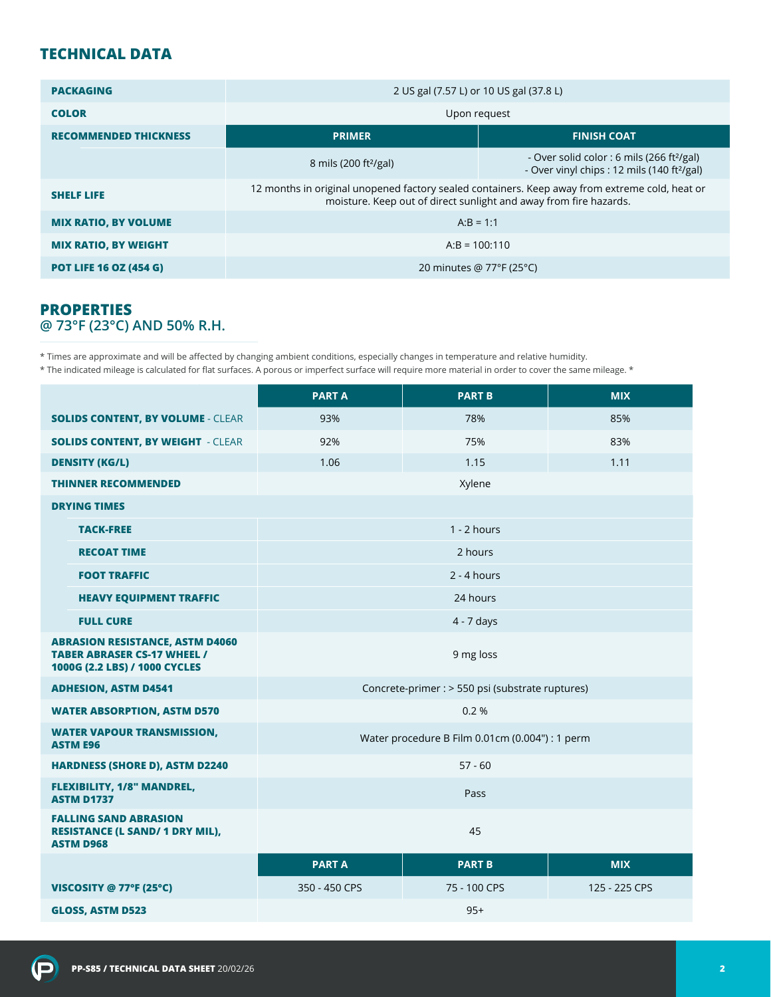# **TECHNICAL DATA**

| <b>PACKAGING</b>              | 2 US gal (7.57 L) or 10 US gal (37.8 L)                                                                                                                             |                                                                                                                   |  |  |
|-------------------------------|---------------------------------------------------------------------------------------------------------------------------------------------------------------------|-------------------------------------------------------------------------------------------------------------------|--|--|
| <b>COLOR</b>                  | Upon request                                                                                                                                                        |                                                                                                                   |  |  |
| <b>RECOMMENDED THICKNESS</b>  | <b>PRIMER</b>                                                                                                                                                       | <b>FINISH COAT</b>                                                                                                |  |  |
|                               | 8 mils (200 ft <sup>2</sup> /gal)                                                                                                                                   | - Over solid color : 6 mils (266 ft <sup>2</sup> /gal)<br>- Over vinyl chips : 12 mils (140 ft <sup>2</sup> /gal) |  |  |
| <b>SHELF LIFE</b>             | 12 months in original unopened factory sealed containers. Keep away from extreme cold, heat or<br>moisture. Keep out of direct sunlight and away from fire hazards. |                                                                                                                   |  |  |
| <b>MIX RATIO, BY VOLUME</b>   | $A:B = 1:1$                                                                                                                                                         |                                                                                                                   |  |  |
| <b>MIX RATIO, BY WEIGHT</b>   | $A:B = 100:110$                                                                                                                                                     |                                                                                                                   |  |  |
| <b>POT LIFE 16 OZ (454 G)</b> | 20 minutes @ $77^{\circ}F(25^{\circ}C)$                                                                                                                             |                                                                                                                   |  |  |

## **PROPERTIES @ 73°F (23°C) AND 50% R.H.**

\* Times are approximate and will be affected by changing ambient conditions, especially changes in temperature and relative humidity.

\* The indicated mileage is calculated for flat surfaces. A porous or imperfect surface will require more material in order to cover the same mileage. \*

|                                                                                                               | <b>PARTA</b>                                     | <b>PART B</b> | <b>MIX</b>    |
|---------------------------------------------------------------------------------------------------------------|--------------------------------------------------|---------------|---------------|
| <b>SOLIDS CONTENT, BY VOLUME - CLEAR</b>                                                                      | 93%                                              | 78%           | 85%           |
| <b>SOLIDS CONTENT, BY WEIGHT - CLEAR</b>                                                                      | 92%                                              | 75%           | 83%           |
| <b>DENSITY (KG/L)</b>                                                                                         | 1.06                                             | 1.15          | 1.11          |
| <b>THINNER RECOMMENDED</b>                                                                                    | Xylene                                           |               |               |
| <b>DRYING TIMES</b>                                                                                           |                                                  |               |               |
| <b>TACK-FREE</b>                                                                                              | $1 - 2$ hours                                    |               |               |
| <b>RECOAT TIME</b>                                                                                            | 2 hours                                          |               |               |
| <b>FOOT TRAFFIC</b>                                                                                           | $2 - 4$ hours                                    |               |               |
| <b>HEAVY EQUIPMENT TRAFFIC</b>                                                                                | 24 hours                                         |               |               |
| <b>FULL CURE</b>                                                                                              | 4 - 7 days                                       |               |               |
| <b>ABRASION RESISTANCE, ASTM D4060</b><br><b>TABER ABRASER CS-17 WHEEL /</b><br>1000G (2.2 LBS) / 1000 CYCLES | 9 mg loss                                        |               |               |
| <b>ADHESION, ASTM D4541</b>                                                                                   | Concrete-primer : > 550 psi (substrate ruptures) |               |               |
| <b>WATER ABSORPTION, ASTM D570</b>                                                                            | 0.2%                                             |               |               |
| <b>WATER VAPOUR TRANSMISSION,</b><br><b>ASTM E96</b>                                                          | Water procedure B Film 0.01cm (0.004") : 1 perm  |               |               |
| <b>HARDNESS (SHORE D), ASTM D2240</b>                                                                         | $57 - 60$                                        |               |               |
| <b>FLEXIBILITY, 1/8" MANDREL,</b><br><b>ASTM D1737</b>                                                        | Pass                                             |               |               |
| <b>FALLING SAND ABRASION</b><br><b>RESISTANCE (L SAND/ 1 DRY MIL),</b><br><b>ASTM D968</b>                    | 45                                               |               |               |
|                                                                                                               | <b>PART A</b>                                    | <b>PART B</b> | <b>MIX</b>    |
| VISCOSITY @ 77°F (25°C)                                                                                       | 350 - 450 CPS                                    | 75 - 100 CPS  | 125 - 225 CPS |
| <b>GLOSS, ASTM D523</b>                                                                                       | $95+$                                            |               |               |

 $\left( \mathbf{P}\right)$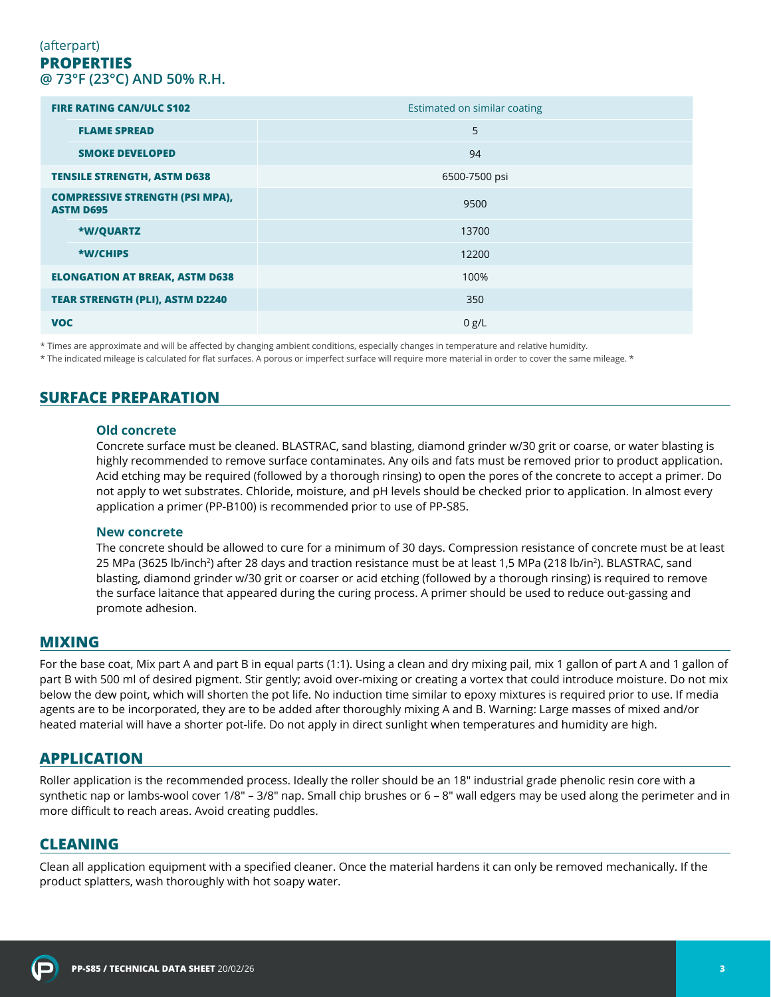### (afterpart) **PROPERTIES @ 73°F (23°C) AND 50% R.H.**

| <b>FIRE RATING CAN/ULC S102</b>                            | Estimated on similar coating |
|------------------------------------------------------------|------------------------------|
| <b>FLAME SPREAD</b>                                        | 5                            |
| <b>SMOKE DEVELOPED</b>                                     | 94                           |
| <b>TENSILE STRENGTH, ASTM D638</b>                         | 6500-7500 psi                |
| <b>COMPRESSIVE STRENGTH (PSI MPA),</b><br><b>ASTM D695</b> | 9500                         |
| <b>*W/QUARTZ</b>                                           | 13700                        |
| *W/CHIPS                                                   | 12200                        |
| <b>ELONGATION AT BREAK, ASTM D638</b>                      | 100%                         |
| <b>TEAR STRENGTH (PLI), ASTM D2240</b>                     | 350                          |
| <b>VOC</b>                                                 | 0 g/L                        |

\* Times are approximate and will be affected by changing ambient conditions, especially changes in temperature and relative humidity.

\* The indicated mileage is calculated for flat surfaces. A porous or imperfect surface will require more material in order to cover the same mileage. \*

## **SURFACE PREPARATION**

#### **Old concrete**

Concrete surface must be cleaned. BLASTRAC, sand blasting, diamond grinder w/30 grit or coarse, or water blasting is highly recommended to remove surface contaminates. Any oils and fats must be removed prior to product application. Acid etching may be required (followed by a thorough rinsing) to open the pores of the concrete to accept a primer. Do not apply to wet substrates. Chloride, moisture, and pH levels should be checked prior to application. In almost every application a primer (PP-B100) is recommended prior to use of PP-S85.

#### **New concrete**

The concrete should be allowed to cure for a minimum of 30 days. Compression resistance of concrete must be at least 25 MPa (3625 lb/inch<sup>2</sup>) after 28 days and traction resistance must be at least 1,5 MPa (218 lb/in<sup>2</sup>). BLASTRAC, sand blasting, diamond grinder w/30 grit or coarser or acid etching (followed by a thorough rinsing) is required to remove the surface laitance that appeared during the curing process. A primer should be used to reduce out-gassing and promote adhesion.

### **MIXING**

For the base coat, Mix part A and part B in equal parts (1:1). Using a clean and dry mixing pail, mix 1 gallon of part A and 1 gallon of part B with 500 ml of desired pigment. Stir gently; avoid over-mixing or creating a vortex that could introduce moisture. Do not mix below the dew point, which will shorten the pot life. No induction time similar to epoxy mixtures is required prior to use. If media agents are to be incorporated, they are to be added after thoroughly mixing A and B. Warning: Large masses of mixed and/or heated material will have a shorter pot-life. Do not apply in direct sunlight when temperatures and humidity are high.

### **APPLICATION**

Roller application is the recommended process. Ideally the roller should be an 18″ industrial grade phenolic resin core with a synthetic nap or lambs-wool cover 1/8″ – 3/8″ nap. Small chip brushes or 6 – 8″ wall edgers may be used along the perimeter and in more difficult to reach areas. Avoid creating puddles.

### **CLEANING**

Clean all application equipment with a specified cleaner. Once the material hardens it can only be removed mechanically. If the product splatters, wash thoroughly with hot soapy water.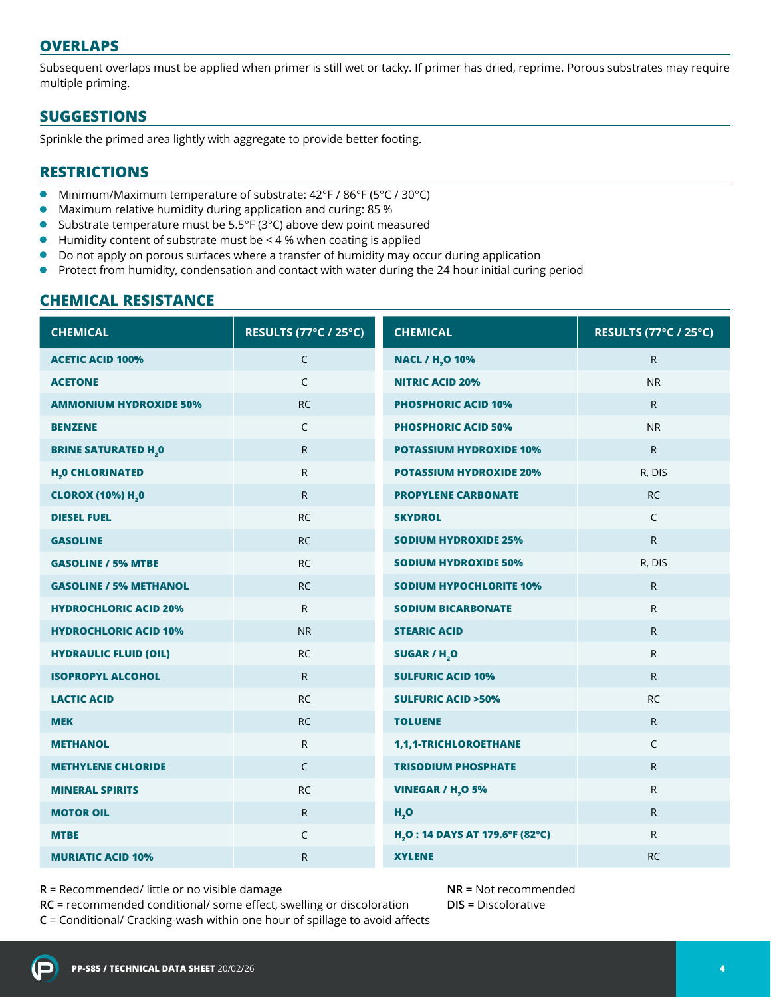## **OVERLAPS**

Subsequent overlaps must be applied when primer is still wet or tacky. If primer has dried, reprime. Porous substrates may require multiple priming.

# **SUGGESTIONS**

Sprinkle the primed area lightly with aggregate to provide better footing.

## **RESTRICTIONS**

- $\bullet$ Minimum/Maximum temperature of substrate: 42°F / 86°F (5°C / 30°C)
- $\bullet$ Maximum relative humidity during application and curing: 85 %
- Substrate temperature must be 5.5°F (3°C) above dew point measured  $\bullet$
- $\bullet$ Humidity content of substrate must be < 4 % when coating is applied
- Do not apply on porous surfaces where a transfer of humidity may occur during application
- $\bullet$ Protect from humidity, condensation and contact with water during the 24 hour initial curing period

## **CHEMICAL RESISTANCE**

| <b>CHEMICAL</b>                       | RESULTS (77°C / 25°C) | <b>CHEMICAL</b>                             | <b>RESULTS (77°C / 25°C)</b> |
|---------------------------------------|-----------------------|---------------------------------------------|------------------------------|
| <b>ACETIC ACID 100%</b>               | $\mathsf{C}$          | <b>NACL / H<sub>2</sub>O 10%</b>            | $\mathsf{R}$                 |
| <b>ACETONE</b>                        | $\mathsf{C}$          | <b>NITRIC ACID 20%</b>                      | <b>NR</b>                    |
| <b>AMMONIUM HYDROXIDE 50%</b>         | <b>RC</b>             | <b>PHOSPHORIC ACID 10%</b>                  | $\mathsf{R}$                 |
| <b>BENZENE</b>                        | C                     | <b>PHOSPHORIC ACID 50%</b>                  | <b>NR</b>                    |
| <b>BRINE SATURATED H<sub>2</sub>0</b> | $\mathsf{R}$          | <b>POTASSIUM HYDROXIDE 10%</b>              | $\mathsf{R}$                 |
| <b>H<sub>2</sub>0 CHLORINATED</b>     | R.                    | <b>POTASSIUM HYDROXIDE 20%</b>              | R, DIS                       |
| <b>CLOROX (10%) H,0</b>               | $\mathsf{R}$          | <b>PROPYLENE CARBONATE</b>                  | <b>RC</b>                    |
| <b>DIESEL FUEL</b>                    | <b>RC</b>             | <b>SKYDROL</b>                              | $\mathsf{C}$                 |
| <b>GASOLINE</b>                       | <b>RC</b>             | <b>SODIUM HYDROXIDE 25%</b>                 | R                            |
| <b>GASOLINE / 5% MTBE</b>             | <b>RC</b>             | <b>SODIUM HYDROXIDE 50%</b>                 | R, DIS                       |
| <b>GASOLINE / 5% METHANOL</b>         | <b>RC</b>             | <b>SODIUM HYPOCHLORITE 10%</b>              | $\mathsf{R}$                 |
| <b>HYDROCHLORIC ACID 20%</b>          | $\mathsf{R}$          | <b>SODIUM BICARBONATE</b>                   | R                            |
| <b>HYDROCHLORIC ACID 10%</b>          | <b>NR</b>             | <b>STEARIC ACID</b>                         | R                            |
| <b>HYDRAULIC FLUID (OIL)</b>          | <b>RC</b>             | <b>SUGAR / H,O</b>                          | R                            |
| <b>ISOPROPYL ALCOHOL</b>              | $\mathsf{R}$          | <b>SULFURIC ACID 10%</b>                    | $\mathsf{R}$                 |
| <b>LACTIC ACID</b>                    | <b>RC</b>             | <b>SULFURIC ACID &gt;50%</b>                | <b>RC</b>                    |
| <b>MEK</b>                            | <b>RC</b>             | <b>TOLUENE</b>                              | $\mathsf{R}$                 |
| <b>METHANOL</b>                       | $\mathsf{R}$          | 1,1,1-TRICHLOROETHANE                       | $\mathsf{C}$                 |
| <b>METHYLENE CHLORIDE</b>             | $\mathsf{C}$          | <b>TRISODIUM PHOSPHATE</b>                  | $\mathsf{R}$                 |
| <b>MINERAL SPIRITS</b>                | <b>RC</b>             | <b>VINEGAR / H<sub>2</sub>O 5%</b>          | R                            |
| <b>MOTOR OIL</b>                      | $\mathsf{R}$          | H, O                                        | $\mathsf{R}$                 |
| <b>MTBE</b>                           | C                     | H <sub>2</sub> O: 14 DAYS AT 179.6°F (82°C) | R                            |
| <b>MURIATIC ACID 10%</b>              | R                     | <b>XYLENE</b>                               | <b>RC</b>                    |

**R** = Recommended/ little or no visible damage

**RC** = recommended conditional/ some effect, swelling or discoloration

**C** = Conditional/ Cracking-wash within one hour of spillage to avoid affects

**NR =** Not recommended **DIS =** Discolorative